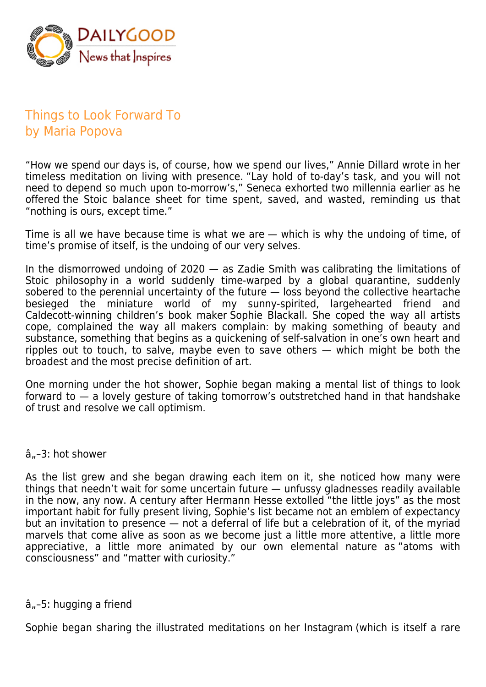

# Things to Look Forward To by Maria Popova

"How we spend our days is, of course, how we spend our lives," Annie Dillard wrote in her timeless meditation on living with presence. "Lay hold of to-day's task, and you will not need to depend so much upon to-morrow's," Seneca exhorted two millennia earlier as he offered the Stoic balance sheet for time spent, saved, and wasted, reminding us that "nothing is ours, except time."

Time is all we have because time is what we are — which is why the undoing of time, of time's promise of itself, is the undoing of our very selves.

In the dismorrowed undoing of 2020 — as Zadie Smith was calibrating the limitations of Stoic philosophy in a world suddenly time-warped by a global quarantine, suddenly sobered to the perennial uncertainty of the future - loss beyond the collective heartache besieged the miniature world of my sunny-spirited, largehearted friend and Caldecott-winning children's book maker Sophie Blackall. She coped the way all artists cope, complained the way all makers complain: by making something of beauty and substance, something that begins as a quickening of self-salvation in one's own heart and ripples out to touch, to salve, maybe even to save others — which might be both the broadest and the most precise definition of art.

One morning under the hot shower, Sophie began making a mental list of things to look forward to — a lovely gesture of taking tomorrow's outstretched hand in that handshake of trust and resolve we call optimism.

#### â"-3: hot shower

As the list grew and she began drawing each item on it, she noticed how many were things that needn't wait for some uncertain future - unfussy gladnesses readily available in the now, any now. A century after Hermann Hesse extolled "the little joys" as the most important habit for fully present living, Sophie's list became not an emblem of expectancy but an invitation to presence — not a deferral of life but a celebration of it, of the myriad marvels that come alive as soon as we become just a little more attentive, a little more appreciative, a little more animated by our own elemental nature as "atoms with consciousness" and "matter with curiosity."

### $\hat{a}_{n}$ –5: hugging a friend

Sophie began sharing the illustrated meditations on her Instagram (which is itself a rare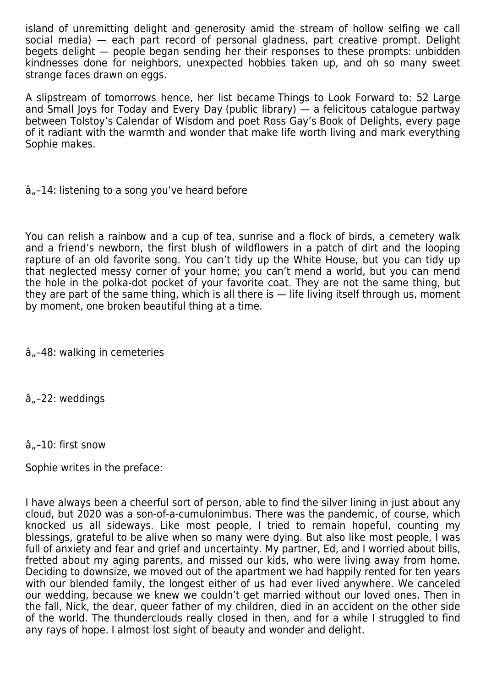island of unremitting delight and generosity amid the stream of hollow selfing we call social media) — each part record of personal gladness, part creative prompt. Delight begets delight — people began sending her their responses to these prompts: unbidden kindnesses done for neighbors, unexpected hobbies taken up, and oh so many sweet strange faces drawn on eggs.

A slipstream of tomorrows hence, her list became Things to Look Forward to: 52 Large and Small Joys for Today and Every Day (public library) — a felicitous catalogue partway between Tolstoy's Calendar of Wisdom and poet Ross Gay's Book of Delights, every page of it radiant with the warmth and wonder that make life worth living and mark everything Sophie makes.

 $\hat{a}_{n}$ –14: listening to a song you've heard before

You can relish a rainbow and a cup of tea, sunrise and a flock of birds, a cemetery walk and a friend's newborn, the first blush of wildflowers in a patch of dirt and the looping rapture of an old favorite song. You can't tidy up the White House, but you can tidy up that neglected messy corner of your home; you can't mend a world, but you can mend the hole in the polka-dot pocket of your favorite coat. They are not the same thing, but they are part of the same thing, which is all there is — life living itself through us, moment by moment, one broken beautiful thing at a time.

â"-48: walking in cemeteries

â.,-22: weddings

### $\hat{a}_{n}$ –10: first snow

Sophie writes in the preface:

I have always been a cheerful sort of person, able to find the silver lining in just about any cloud, but 2020 was a son-of-a-cumulonimbus. There was the pandemic, of course, which knocked us all sideways. Like most people, I tried to remain hopeful, counting my blessings, grateful to be alive when so many were dying. But also like most people, I was full of anxiety and fear and grief and uncertainty. My partner, Ed, and I worried about bills, fretted about my aging parents, and missed our kids, who were living away from home. Deciding to downsize, we moved out of the apartment we had happily rented for ten years with our blended family, the longest either of us had ever lived anywhere. We canceled our wedding, because we knew we couldn't get married without our loved ones. Then in the fall, Nick, the dear, queer father of my children, died in an accident on the other side of the world. The thunderclouds really closed in then, and for a while I struggled to find any rays of hope. I almost lost sight of beauty and wonder and delight.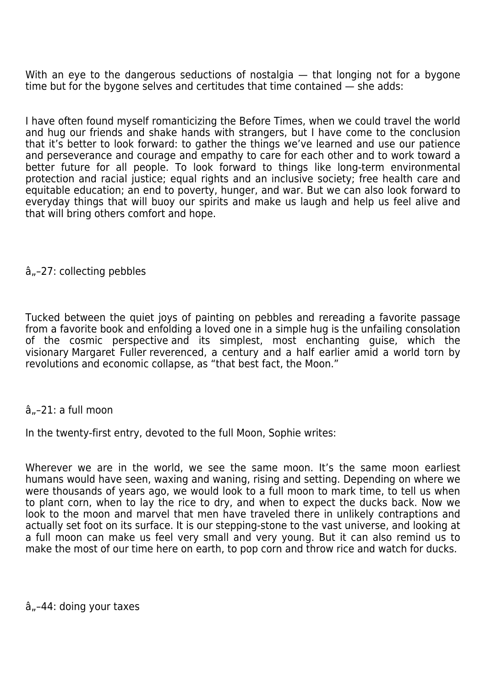With an eye to the dangerous seductions of nostalgia - that longing not for a bygone time but for the bygone selves and certitudes that time contained — she adds:

I have often found myself romanticizing the Before Times, when we could travel the world and hug our friends and shake hands with strangers, but I have come to the conclusion that it's better to look forward: to gather the things we've learned and use our patience and perseverance and courage and empathy to care for each other and to work toward a better future for all people. To look forward to things like long-term environmental protection and racial justice; equal rights and an inclusive society; free health care and equitable education; an end to poverty, hunger, and war. But we can also look forward to everyday things that will buoy our spirits and make us laugh and help us feel alive and that will bring others comfort and hope.

### $\hat{a}_{n}$ –27: collecting pebbles

Tucked between the quiet joys of painting on pebbles and rereading a favorite passage from a favorite book and enfolding a loved one in a simple hug is the unfailing consolation of the cosmic perspective and its simplest, most enchanting guise, which the visionary Margaret Fuller reverenced, a century and a half earlier amid a world torn by revolutions and economic collapse, as "that best fact, the Moon."

### â..-21: a full moon

In the twenty-first entry, devoted to the full Moon, Sophie writes:

Wherever we are in the world, we see the same moon. It's the same moon earliest humans would have seen, waxing and waning, rising and setting. Depending on where we were thousands of years ago, we would look to a full moon to mark time, to tell us when to plant corn, when to lay the rice to dry, and when to expect the ducks back. Now we look to the moon and marvel that men have traveled there in unlikely contraptions and actually set foot on its surface. It is our stepping-stone to the vast universe, and looking at a full moon can make us feel very small and very young. But it can also remind us to make the most of our time here on earth, to pop corn and throw rice and watch for ducks.

 $\hat{a}_{n}$ –44: doing your taxes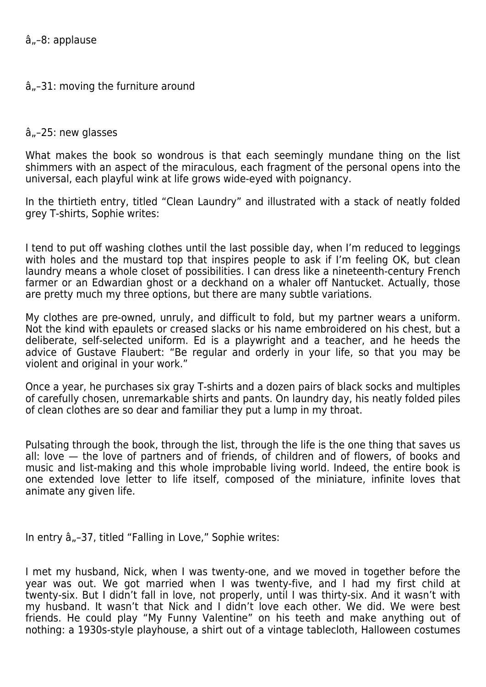## $\hat{a}_{n}$ –31: moving the furniture around

#### $\hat{a}_{n}$ –25: new glasses

What makes the book so wondrous is that each seemingly mundane thing on the list shimmers with an aspect of the miraculous, each fragment of the personal opens into the universal, each playful wink at life grows wide-eyed with poignancy.

In the thirtieth entry, titled "Clean Laundry" and illustrated with a stack of neatly folded grey T-shirts, Sophie writes:

I tend to put off washing clothes until the last possible day, when I'm reduced to leggings with holes and the mustard top that inspires people to ask if I'm feeling OK, but clean laundry means a whole closet of possibilities. I can dress like a nineteenth-century French farmer or an Edwardian ghost or a deckhand on a whaler off Nantucket. Actually, those are pretty much my three options, but there are many subtle variations.

My clothes are pre-owned, unruly, and difficult to fold, but my partner wears a uniform. Not the kind with epaulets or creased slacks or his name embroidered on his chest, but a deliberate, self-selected uniform. Ed is a playwright and a teacher, and he heeds the advice of Gustave Flaubert: "Be regular and orderly in your life, so that you may be violent and original in your work."

Once a year, he purchases six gray T-shirts and a dozen pairs of black socks and multiples of carefully chosen, unremarkable shirts and pants. On laundry day, his neatly folded piles of clean clothes are so dear and familiar they put a lump in my throat.

Pulsating through the book, through the list, through the life is the one thing that saves us all: love — the love of partners and of friends, of children and of flowers, of books and music and list-making and this whole improbable living world. Indeed, the entire book is one extended love letter to life itself, composed of the miniature, infinite loves that animate any given life.

In entry  $\hat{a}_{n}$ –37, titled "Falling in Love," Sophie writes:

I met my husband, Nick, when I was twenty-one, and we moved in together before the year was out. We got married when I was twenty-five, and I had my first child at twenty-six. But I didn't fall in love, not properly, until I was thirty-six. And it wasn't with my husband. It wasn't that Nick and I didn't love each other. We did. We were best friends. He could play "My Funny Valentine" on his teeth and make anything out of nothing: a 1930s-style playhouse, a shirt out of a vintage tablecloth, Halloween costumes